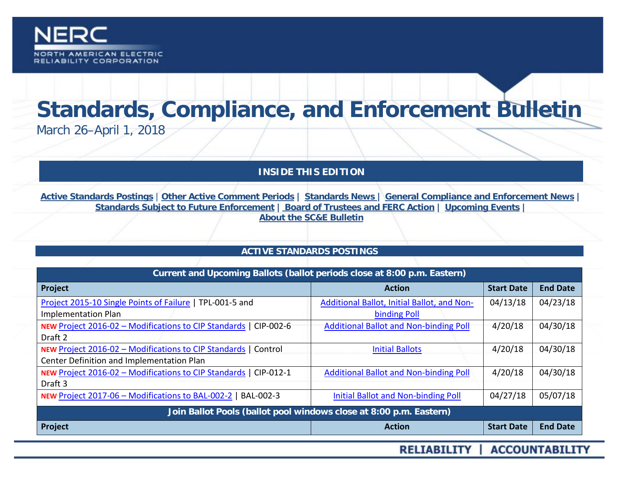

# **Standards, Compliance, and Enforcement Bulletin**

March 26–April 1, 2018

**INSIDE THIS EDITION**

**Active Standards Postings** | **[Other Active Comment Periods](#page-1-0) | [Standards News](#page-2-0) | [General Compliance and Enforcement News](#page-4-0) | [Standards Subject to Future Enforcement](#page-5-0) | [Board of Trustees and FERC Action](#page-6-0) | [Upcoming Events](#page-7-0) | [About the SC&E](#page-8-0) Bulletin**

# **ACTIVE STANDARDS POSTINGS**

| Current and Upcoming Ballots (ballot periods close at 8:00 p.m. Eastern) |                                               |                   |                 |
|--------------------------------------------------------------------------|-----------------------------------------------|-------------------|-----------------|
| Project                                                                  | <b>Action</b>                                 | <b>Start Date</b> | <b>End Date</b> |
| Project 2015-10 Single Points of Failure   TPL-001-5 and                 | Additional Ballot, Initial Ballot, and Non-   | 04/13/18          | 04/23/18        |
| <b>Implementation Plan</b>                                               | binding Poll                                  |                   |                 |
| NEW Project 2016-02 - Modifications to CIP Standards   CIP-002-6         | <b>Additional Ballot and Non-binding Poll</b> | 4/20/18           | 04/30/18        |
| Draft 2                                                                  |                                               |                   |                 |
| NEW Project 2016-02 - Modifications to CIP Standards   Control           | <b>Initial Ballots</b>                        | 4/20/18           | 04/30/18        |
| Center Definition and Implementation Plan                                |                                               |                   |                 |
| NEW Project 2016-02 - Modifications to CIP Standards   CIP-012-1         | <b>Additional Ballot and Non-binding Poll</b> | 4/20/18           | 04/30/18        |
| Draft 3                                                                  |                                               |                   |                 |
| NEW Project 2017-06 - Modifications to BAL-002-2<br>BAL-002-3            | Initial Ballot and Non-binding Poll           | 04/27/18          | 05/07/18        |
| Join Ballot Pools (ballot pool windows close at 8:00 p.m. Eastern)       |                                               |                   |                 |
| Project                                                                  | <b>Action</b>                                 | <b>Start Date</b> | <b>End Date</b> |

RELIABILITY | ACCOUNTABILITY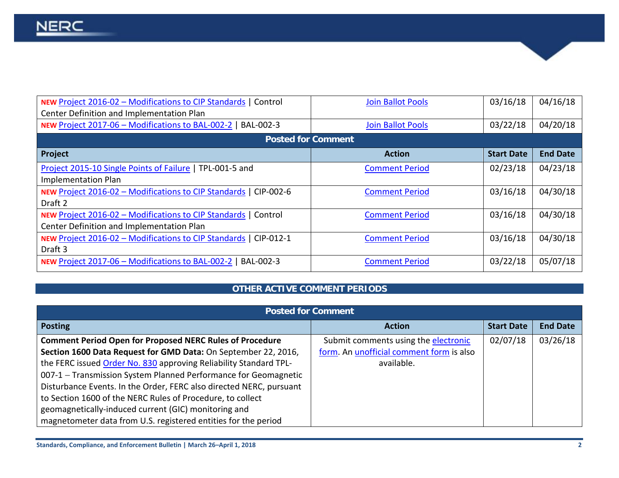| <b>NEW Project 2016-02 - Modifications to CIP Standards   Control</b> | <b>Join Ballot Pools</b> | 03/16/18          | 04/16/18        |
|-----------------------------------------------------------------------|--------------------------|-------------------|-----------------|
| Center Definition and Implementation Plan                             |                          |                   |                 |
| NEW Project 2017-06 - Modifications to BAL-002-2   BAL-002-3          | <b>Join Ballot Pools</b> | 03/22/18          | 04/20/18        |
| <b>Posted for Comment</b>                                             |                          |                   |                 |
| Project                                                               | <b>Action</b>            | <b>Start Date</b> | <b>End Date</b> |
| Project 2015-10 Single Points of Failure   TPL-001-5 and              | <b>Comment Period</b>    | 02/23/18          | 04/23/18        |
| <b>Implementation Plan</b>                                            |                          |                   |                 |
| NEW Project 2016-02 - Modifications to CIP Standards  <br>CIP-002-6   | <b>Comment Period</b>    | 03/16/18          | 04/30/18        |
| Draft 2                                                               |                          |                   |                 |
| <b>NEW Project 2016-02 - Modifications to CIP Standards   Control</b> | <b>Comment Period</b>    | 03/16/18          | 04/30/18        |
| Center Definition and Implementation Plan                             |                          |                   |                 |
| NEW Project 2016-02 - Modifications to CIP Standards  <br>CIP-012-1   | <b>Comment Period</b>    | 03/16/18          | 04/30/18        |
| Draft 3                                                               |                          |                   |                 |
| NEW Project 2017-06 - Modifications to BAL-002-2   BAL-002-3          | <b>Comment Period</b>    | 03/22/18          | 05/07/18        |

# **OTHER ACTIVE COMMENT PERIODS**

<span id="page-1-0"></span>

| <b>Posted for Comment</b>                                           |                                          |                   |                 |
|---------------------------------------------------------------------|------------------------------------------|-------------------|-----------------|
| <b>Posting</b>                                                      | <b>Action</b>                            | <b>Start Date</b> | <b>End Date</b> |
| <b>Comment Period Open for Proposed NERC Rules of Procedure</b>     | Submit comments using the electronic     | 02/07/18          | 03/26/18        |
| Section 1600 Data Request for GMD Data: On September 22, 2016,      | form. An unofficial comment form is also |                   |                 |
| the FERC issued Order No. 830 approving Reliability Standard TPL-   | available.                               |                   |                 |
| 007-1 - Transmission System Planned Performance for Geomagnetic     |                                          |                   |                 |
| Disturbance Events. In the Order, FERC also directed NERC, pursuant |                                          |                   |                 |
| to Section 1600 of the NERC Rules of Procedure, to collect          |                                          |                   |                 |
| geomagnetically-induced current (GIC) monitoring and                |                                          |                   |                 |
| magnetometer data from U.S. registered entities for the period      |                                          |                   |                 |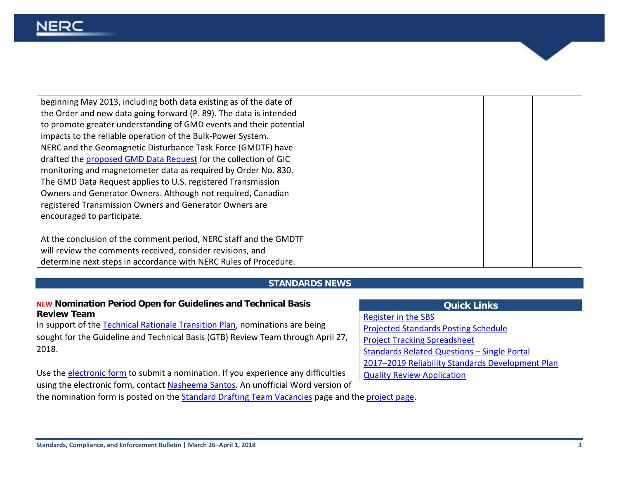| beginning May 2013, including both data existing as of the date of |  |  |
|--------------------------------------------------------------------|--|--|
| the Order and new data going forward (P. 89). The data is intended |  |  |
| to promote greater understanding of GMD events and their potential |  |  |
| impacts to the reliable operation of the Bulk-Power System.        |  |  |
| NERC and the Geomagnetic Disturbance Task Force (GMDTF) have       |  |  |
| drafted the proposed GMD Data Request for the collection of GIC    |  |  |
| monitoring and magnetometer data as required by Order No. 830.     |  |  |
| The GMD Data Request applies to U.S. registered Transmission       |  |  |
| Owners and Generator Owners. Although not required, Canadian       |  |  |
| registered Transmission Owners and Generator Owners are            |  |  |
| encouraged to participate.                                         |  |  |
|                                                                    |  |  |
| At the conclusion of the comment period, NERC staff and the GMDTF  |  |  |
| will review the comments received, consider revisions, and         |  |  |
| determine next steps in accordance with NERC Rules of Procedure.   |  |  |

#### **STANDARDS NEWS**

#### <span id="page-2-0"></span>**NEW Nomination Period Open for Guidelines and Technical Basis Review Team**

In support of the [Technical Rationale Transition Plan,](http://www.nerc.com/pa/Stand/Technical%20Rationale%20fro%20Reliability%20Standards/Technical%20Rationale%20Transition%20Plan.pdf) nominations are being sought for the Guideline and Technical Basis (GTB) Review Team through April 27, 2018.

Use the [electronic form](https://www.nerc.net/nercsurvey/Survey.aspx?s=35774f5b251a4c4c87c8d728e93da9f1) to submit a nomination. If you experience any difficulties using the electronic form, contact [Nasheema Santos.](mailto:nasheema.santos@nerc.net) An unofficial Word version of the nomination form is posted on the **Standard Drafting Team Vacancies** page and th[e project page.](http://www.nerc.com/pa/Stand/Pages/TechnicalRationaleforReliabilityStandards.aspx)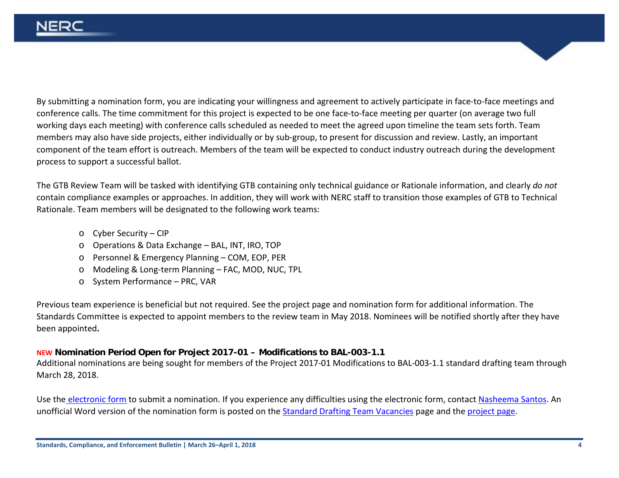By submitting a nomination form, you are indicating your willingness and agreement to actively participate in face-to-face meetings and conference calls. The time commitment for this project is expected to be one face-to-face meeting per quarter (on average two full working days each meeting) with conference calls scheduled as needed to meet the agreed upon timeline the team sets forth. Team members may also have side projects, either individually or by sub-group, to present for discussion and review. Lastly, an important component of the team effort is outreach. Members of the team will be expected to conduct industry outreach during the development process to support a successful ballot.

The GTB Review Team will be tasked with identifying GTB containing only technical guidance or Rationale information, and clearly *do not* contain compliance examples or approaches. In addition, they will work with NERC staff to transition those examples of GTB to Technical Rationale. Team members will be designated to the following work teams:

- o Cyber Security CIP
- o Operations & Data Exchange BAL, INT, IRO, TOP
- o Personnel & Emergency Planning COM, EOP, PER
- o Modeling & Long-term Planning FAC, MOD, NUC, TPL
- o System Performance PRC, VAR

Previous team experience is beneficial but not required. See the project page and nomination form for additional information. The Standards Committee is expected to appoint members to the review team in May 2018. Nominees will be notified shortly after they have been appointed**.**

# **NEW Nomination Period Open for Project 2017-01 – Modifications to BAL-003-1.1**

Additional nominations are being sought for members of the Project 2017-01 Modifications to BAL-003-1.1 standard drafting team through March 28, 2018.

Use the [electronic form](https://www.nerc.net/nercsurvey/Survey.aspx?s=80052041cd37438080968b2fe0f317d9) to submit a nomination. If you experience any difficulties using the electronic form, contact [Nasheema Santos.](mailto:nasheema.santos@nerc.net) An unofficial Word version of the nomination form is posted on th[e Standard Drafting Team Vacancies](http://www.nerc.com/pa/Stand/Pages/Drafting-Team-Vacancies.aspx) page and the [project page.](http://www.nerc.com/pa/Stand/Pages/Project201701ModificationstoBAL00311.aspx)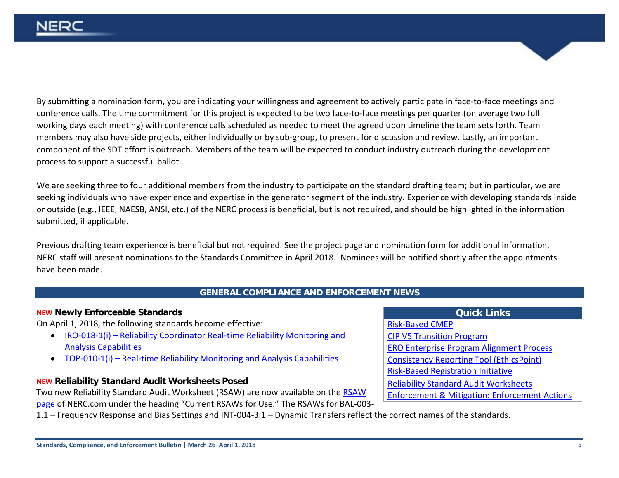By submitting a nomination form, you are indicating your willingness and agreement to actively participate in face-to-face meetings and conference calls. The time commitment for this project is expected to be two face-to-face meetings per quarter (on average two full working days each meeting) with conference calls scheduled as needed to meet the agreed upon timeline the team sets forth. Team members may also have side projects, either individually or by sub-group, to present for discussion and review. Lastly, an important component of the SDT effort is outreach. Members of the team will be expected to conduct industry outreach during the development process to support a successful ballot.

We are seeking three to four additional members from the industry to participate on the standard drafting team; but in particular, we are seeking individuals who have experience and expertise in the generator segment of the industry. Experience with developing standards inside or outside (e.g., IEEE, NAESB, ANSI, etc.) of the NERC process is beneficial, but is not required, and should be highlighted in the information submitted, if applicable.

Previous drafting team experience is beneficial but not required. See the project page and nomination form for additional information. NERC staff will present nominations to the Standards Committee in April 2018. Nominees will be notified shortly after the appointments have been made.

#### **GENERAL COMPLIANCE AND ENFORCEMENT NEWS**

#### <span id="page-4-0"></span>**NEW Newly Enforceable Standards**

On April 1, 2018, the following standards become effective:

- IRO-018-1(i) [Reliability Coordinator Real-time Reliability Monitoring and](http://www.nerc.com/pa/Stand/Reliability%20Standards/IRO-018-1(i).pdf)  [Analysis Capabilities](http://www.nerc.com/pa/Stand/Reliability%20Standards/IRO-018-1(i).pdf)
- TOP-010-1(i) [Real-time Reliability Monitoring and Analysis Capabilities](http://www.nerc.com/pa/Stand/Reliability%20Standards/TOP-010-1(i).pdf)

#### **NEW Reliability Standard Audit Worksheets Posed**

Two new Reliability Standard Audit Worksheet (RSAW) are now available on th[e RSAW](http://www.nerc.com/pa/comp/Pages/Reliability-Standard-Audit-Worksheets-(RSAWs).aspx)  [page](http://www.nerc.com/pa/comp/Pages/Reliability-Standard-Audit-Worksheets-(RSAWs).aspx) of NERC.com under the heading "Current RSAWs for Use." The RSAWs for BAL-003-

1.1 – Frequency Response and Bias Settings and INT-004-3.1 – Dynamic Transfers reflect the correct names of the standards.

**Quick Links** [Risk-Based CMEP](http://www.nerc.com/pa/comp/Pages/Reliability-Assurance-Initiative.aspx)  [CIP V5 Transition Program](http://www.nerc.com/pa/CI/Pages/Transition-Program.aspx) [ERO Enterprise Program Alignment Process](http://www.nerc.com/pa/comp/Pages/EROEnterProAlign.aspx) [Consistency Reporting Tool \(EthicsPoint\)](https://secure.ethicspoint.com/domain/media/en/gui/51749/index.html) [Risk-Based Registration Initiative](http://www.nerc.com/pa/comp/CAC/Pages/Risk-Based%20Registration.aspx) [Reliability Standard Audit Worksheets](http://www.nerc.com/pa/comp/Pages/Reliability-Standard-Audit-Worksheets-(RSAWs).aspx) [Enforcement & Mitigation: Enforcement Actions](http://www.nerc.com/pa/comp/CE/Pages/Enforcement-and-Mitigation.aspx)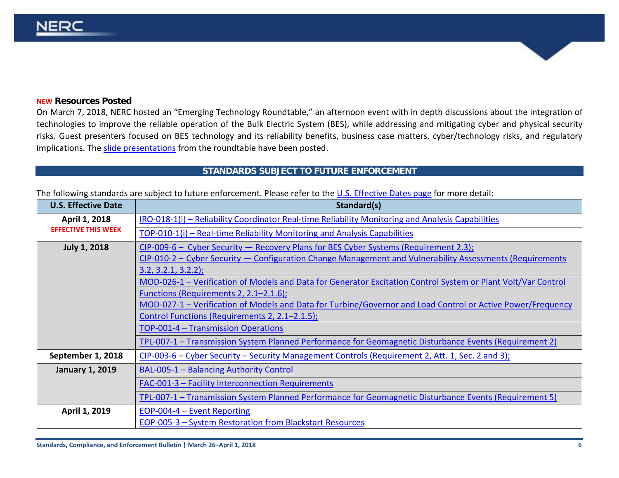#### **NEW Resources Posted**

On March 7, 2018, NERC hosted an "Emerging Technology Roundtable," an afternoon event with in depth discussions about the integration of technologies to improve the reliable operation of the Bulk Electric System (BES), while addressing and mitigating cyber and physical security risks. Guest presenters focused on BES technology and its reliability benefits, business case matters, cyber/technology risks, and regulatory implications. The [slide presentations](https://www.nerc.com/comm/CIPC/Agendas%20Highlights%20and%20Minutes%202013/Emerging_Technology_Roundtable_2018.pdf) from the roundtable have been posted.

#### <span id="page-5-0"></span>**STANDARDS SUBJECT TO FUTURE ENFORCEMENT**

| <b>U.S. Effective Date</b>                  | Standard(s)                                                                                                   |
|---------------------------------------------|---------------------------------------------------------------------------------------------------------------|
| April 1, 2018<br><b>EFFECTIVE THIS WEEK</b> | IRO-018-1(i) – Reliability Coordinator Real-time Reliability Monitoring and Analysis Capabilities             |
|                                             | TOP-010-1(i) - Real-time Reliability Monitoring and Analysis Capabilities                                     |
| <b>July 1, 2018</b>                         | $CIP-009-6$ – Cyber Security – Recovery Plans for BES Cyber Systems (Requirement 2.3);                        |
|                                             | CIP-010-2 – Cyber Security – Configuration Change Management and Vulnerability Assessments (Requirements      |
|                                             | 3.2, 3.2.1, 3.2.2);                                                                                           |
|                                             | MOD-026-1 - Verification of Models and Data for Generator Excitation Control System or Plant Volt/Var Control |
|                                             | Functions (Requirements 2, 2.1–2.1.6);                                                                        |
|                                             | MOD-027-1 – Verification of Models and Data for Turbine/Governor and Load Control or Active Power/Frequency   |
|                                             | Control Functions (Requirements 2, 2.1–2.1.5);                                                                |
|                                             | TOP-001-4 - Transmission Operations                                                                           |
|                                             | TPL-007-1 – Transmission System Planned Performance for Geomagnetic Disturbance Events (Requirement 2)        |
| September 1, 2018                           | CIP-003-6 – Cyber Security – Security Management Controls (Requirement 2, Att. 1, Sec. 2 and 3);              |
| <b>January 1, 2019</b>                      | BAL-005-1 - Balancing Authority Control                                                                       |
|                                             | FAC-001-3 - Facility Interconnection Requirements                                                             |
|                                             | TPL-007-1 - Transmission System Planned Performance for Geomagnetic Disturbance Events (Requirement 5)        |
| April 1, 2019                               | EOP-004-4 - Event Reporting                                                                                   |
|                                             | EOP-005-3 - System Restoration from Blackstart Resources                                                      |

The following standards are subject to future enforcement. Please refer to the [U.S. Effective](http://www.nerc.net/standardsreports/standardssummary.aspx) Dates page for more detail: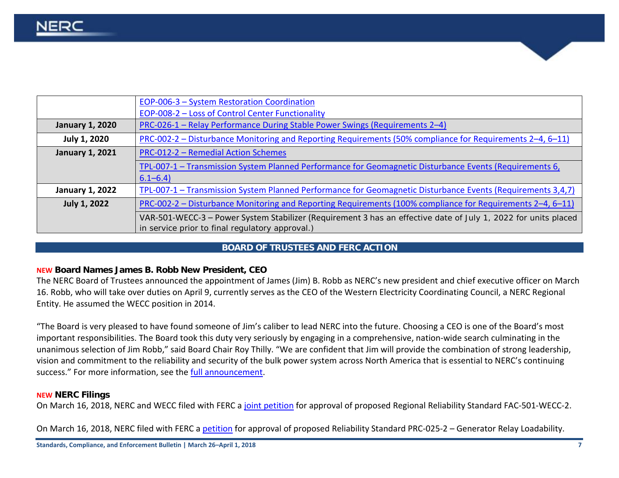|                        | EOP-006-3 - System Restoration Coordination                                                                                                                       |
|------------------------|-------------------------------------------------------------------------------------------------------------------------------------------------------------------|
|                        | EOP-008-2 - Loss of Control Center Functionality                                                                                                                  |
| <b>January 1, 2020</b> | PRC-026-1 - Relay Performance During Stable Power Swings (Requirements 2-4)                                                                                       |
| <b>July 1, 2020</b>    | PRC-002-2 – Disturbance Monitoring and Reporting Requirements (50% compliance for Requirements 2–4, 6–11)                                                         |
| <b>January 1, 2021</b> | <b>PRC-012-2 - Remedial Action Schemes</b>                                                                                                                        |
|                        | TPL-007-1 - Transmission System Planned Performance for Geomagnetic Disturbance Events (Requirements 6,                                                           |
|                        | $6.1 - 6.4$                                                                                                                                                       |
| <b>January 1, 2022</b> | TPL-007-1 - Transmission System Planned Performance for Geomagnetic Disturbance Events (Requirements 3,4,7)                                                       |
| <b>July 1, 2022</b>    | PRC-002-2 – Disturbance Monitoring and Reporting Requirements (100% compliance for Requirements 2–4, 6–11)                                                        |
|                        | VAR-501-WECC-3 - Power System Stabilizer (Requirement 3 has an effective date of July 1, 2022 for units placed<br>in service prior to final regulatory approval.) |
|                        |                                                                                                                                                                   |

#### **BOARD OF TRUSTEES AND FERC ACTION**

#### <span id="page-6-0"></span>**NEW Board Names James B. Robb New President, CEO**

The NERC Board of Trustees announced the appointment of James (Jim) B. Robb as NERC's new president and chief executive officer on March 16. Robb, who will take over duties on April 9, currently serves as the CEO of the Western Electricity Coordinating Council, a NERC Regional Entity. He assumed the WECC position in 2014.

"The Board is very pleased to have found someone of Jim's caliber to lead NERC into the future. Choosing a CEO is one of the Board's most important responsibilities. The Board took this duty very seriously by engaging in a comprehensive, nation-wide search culminating in the unanimous selection of Jim Robb," said Board Chair Roy Thilly. "We are confident that Jim will provide the combination of strong leadership, vision and commitment to the reliability and security of the bulk power system across North America that is essential to NERC's continuing success." For more information, see th[e full announcement.](http://www.nerc.com/news/Headlines%20DL/CEO%2016MAR18.pdf)

#### **NEW NERC Filings**

On March 16, 2018, NERC and WECC filed with FERC a [joint petition](http://www.nerc.com/FilingsOrders/us/NERC%20Filings%20to%20FERC%20DL/FAC-501-WECC-2%20Petition.pdf) for approval of proposed Regional Reliability Standard FAC-501-WECC-2.

On March 16, 2018, NERC filed with FERC a [petition](http://www.nerc.com/FilingsOrders/us/NERC%20Filings%20to%20FERC%20DL/Petition%20for%20Approval%20of%20PRC-025-2.pdf) for approval of proposed Reliability Standard PRC-025-2 – Generator Relay Loadability.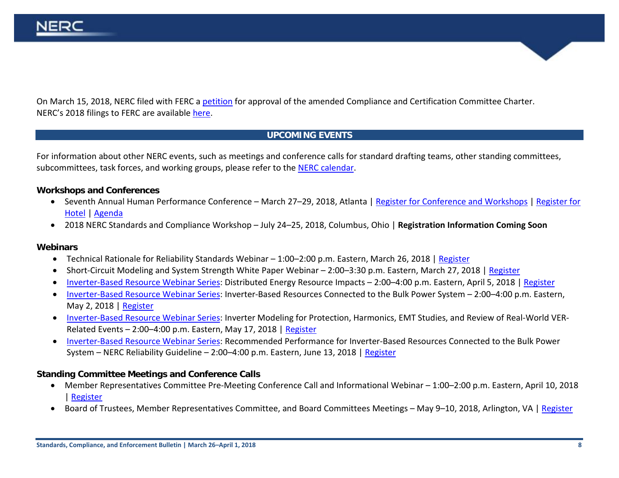On March 15, 2018, NERC filed with FERC a [petition](https://www.nerc.com/FilingsOrders/us/FERCOrdersRules/Amended%20CCC%20Charter%20Filing%20March%202018.pdf) for approval of the amended Compliance and Certification Committee Charter. NERC's 2018 filings to FERC are available [here.](http://www.nerc.com/FilingsOrders/us/Pages/NERCFilings2018.aspx)

# **UPCOMING EVENTS**

<span id="page-7-0"></span>For information about other NERC events, such as meetings and conference calls for standard drafting teams, other standing committees, subcommittees, task forces, and working groups, please refer to the [NERC calendar.](http://www.nerc.com/Pages/Calendar.aspx)

#### **Workshops and Conferences**

- Seventh Annual Human Performance Conference March 27–29, 2018, Atlanta | [Register for Conference and Workshops](https://www.eventbrite.com/e/human-performance-conference-and-workshops-march-2018-registration-42090981258) | [Register for](https://www.starwoodmeeting.com/events/start.action?id=1712069626&key=2BBEA2D2)  [Hotel](https://www.starwoodmeeting.com/events/start.action?id=1712069626&key=2BBEA2D2) | [Agenda](http://www.nerc.com/pa/rrm/hp/2018_HP_Conference_DL/HP_Agenda_Draft.pdf)
- 2018 NERC Standards and Compliance Workshop July 24–25, 2018, Columbus, Ohio | **Registration Information Coming Soon**

#### **Webinars**

- Technical Rationale for Reliability Standards Webinar 1:00–2:00 p.m. Eastern, March 26, 2018 | [Register](https://nerc.webex.com/nerc/j.php?MTID=m0fcd102affdc6ab7c5033a6c7915afdc)
- Short-Circuit Modeling and System Strength White Paper Webinar 2:00–3:30 p.m. Eastern, March 27, 2018 | [Register](https://nerc.webex.com/nerc/j.php?MTID=md9329e470d1a6141354d09203c8c1364)
- [Inverter-Based Resource Webinar Series:](http://www.nerc.com/comm/PC/Documents/Inverter_Based_Resources_Webinar_Series_Flyer-draft_02.05.18.pdf) Distributed Energy Resource Impacts 2:00–4:00 p.m. Eastern, April 5, 2018 | [Register](https://epri.webex.com/epri/j.php?MTID=me455c176d7c3e658d3560f9ea50aca30)
- [Inverter-Based Resource Webinar Series:](http://www.nerc.com/comm/PC/Documents/Inverter_Based_Resources_Webinar_Series_Flyer-draft_02.05.18.pdf) Inverter-Based Resources Connected to the Bulk Power System 2:00–4:00 p.m. Eastern, May 2, 2018 | [Register](https://epri.webex.com/epri/j.php?MTID=mdf15ad69c775791f9fe3e97ea3601ef0)
- [Inverter-Based Resource Webinar Series:](http://www.nerc.com/comm/PC/Documents/Inverter_Based_Resources_Webinar_Series_Flyer-draft_02.05.18.pdf) Inverter Modeling for Protection, Harmonics, EMT Studies, and Review of Real-World VER-Related Events – 2:00–4:00 p.m. Eastern, May 17, 2018 | [Register](https://epri.webex.com/epri/j.php?MTID=m595deb5297abbf79963b5d23473bb5a1)
- [Inverter-Based Resource Webinar Series:](http://www.nerc.com/comm/PC/Documents/Inverter_Based_Resources_Webinar_Series_Flyer-draft_02.05.18.pdf) Recommended Performance for Inverter-Based Resources Connected to the Bulk Power System – NERC Reliability Guideline – 2:00–4:00 p.m. Eastern, June 13, 2018 [| Register](https://epri.webex.com/epri/j.php?MTID=m9a81a6d3749132174139e2cee625b2d4)

#### **Standing Committee Meetings and Conference Calls**

- Member Representatives Committee Pre-Meeting Conference Call and Informational Webinar 1:00–2:00 p.m. Eastern, April 10, 2018 | [Register](https://cc.readytalk.com/registration/#/?meeting=6g2w879bu1ov&campaign=9uf7f3gt9ofy)
- Board of Trustees, Member Representatives Committee, and Board Committees Meetings May 9–10, 2018, Arlington, VA | [Register](https://www.eventbrite.com/e/nerc-board-of-trustees-and-member-representatives-committee-meetings-registration-43484337825)